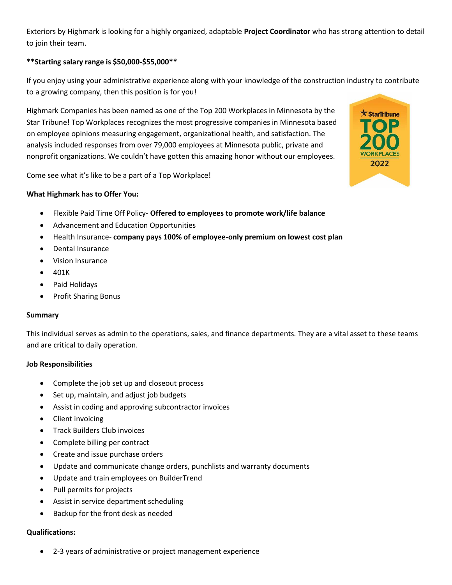Exteriors by Highmark is looking for a highly organized, adaptable **Project Coordinator** who has strong attention to detail to join their team.

# **\*\*Starting salary range is \$50,000-\$55,000\*\***

If you enjoy using your administrative experience along with your knowledge of the construction industry to contribute to a growing company, then this position is for you!

Highmark Companies has been named as one of the Top 200 Workplaces in Minnesota by the Star Tribune! Top Workplaces recognizes the most progressive companies in Minnesota based on employee opinions measuring engagement, organizational health, and satisfaction. The analysis included responses from over 79,000 employees at Minnesota public, private and nonprofit organizations. We couldn't have gotten this amazing honor without our employees.

Come see what it's like to be a part of a Top Workplace!

## **What Highmark has to Offer You:**

- Flexible Paid Time Off Policy- **Offered to employees to promote work/life balance**
- Advancement and Education Opportunities
- Health Insurance- **company pays 100% of employee-only premium on lowest cost plan**
- Dental Insurance
- Vision Insurance
- 401K
- Paid Holidays
- Profit Sharing Bonus

### **Summary**

This individual serves as admin to the operations, sales, and finance departments. They are a vital asset to these teams and are critical to daily operation.

### **Job Responsibilities**

- Complete the job set up and closeout process
- Set up, maintain, and adjust job budgets
- Assist in coding and approving subcontractor invoices
- Client invoicing
- Track Builders Club invoices
- Complete billing per contract
- Create and issue purchase orders
- Update and communicate change orders, punchlists and warranty documents
- Update and train employees on BuilderTrend
- Pull permits for projects
- Assist in service department scheduling
- Backup for the front desk as needed

### **Qualifications:**

• 2-3 years of administrative or project management experience